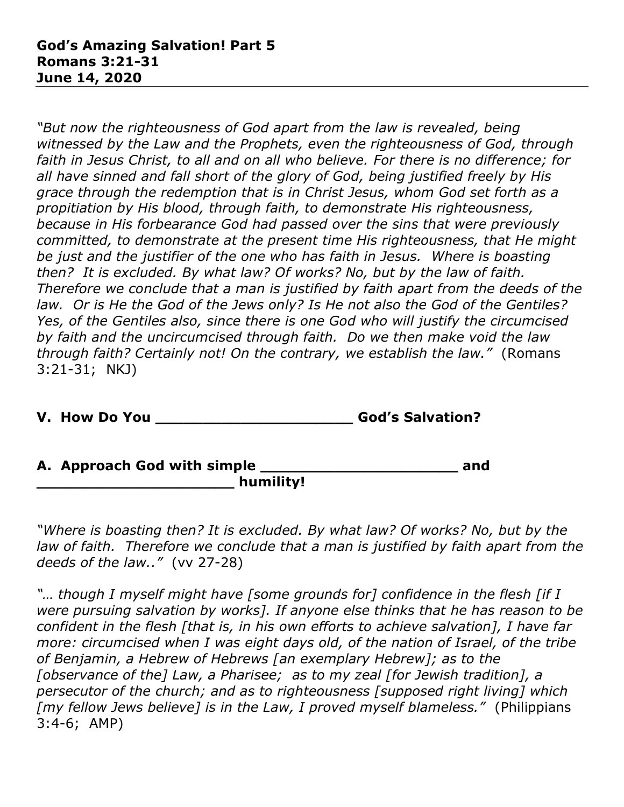*"But now the righteousness of God apart from the law is revealed, being witnessed by the Law and the Prophets, even the righteousness of God, through faith in Jesus Christ, to all and on all who believe. For there is no difference; for all have sinned and fall short of the glory of God, being justified freely by His grace through the redemption that is in Christ Jesus, whom God set forth as a propitiation by His blood, through faith, to demonstrate His righteousness, because in His forbearance God had passed over the sins that were previously committed, to demonstrate at the present time His righteousness, that He might be just and the justifier of the one who has faith in Jesus. Where is boasting then? It is excluded. By what law? Of works? No, but by the law of faith. Therefore we conclude that a man is justified by faith apart from the deeds of the law. Or is He the God of the Jews only? Is He not also the God of the Gentiles? Yes, of the Gentiles also, since there is one God who will justify the circumcised by faith and the uncircumcised through faith. Do we then make void the law through faith? Certainly not! On the contrary, we establish the law."* (Romans 3:21-31; NKJ)

**V. How Do You \_\_\_\_\_\_\_\_\_\_\_\_\_\_\_\_\_\_\_\_\_ God's Salvation?** 

**A. Approach God with simple \_\_\_\_\_\_\_\_\_\_\_\_\_\_\_\_\_\_\_\_\_ and \_\_\_\_\_\_\_\_\_\_\_\_\_\_\_\_\_\_\_\_\_ humility!**

*"Where is boasting then? It is excluded. By what law? Of works? No, but by the law of faith. Therefore we conclude that a man is justified by faith apart from the deeds of the law.."* (vv 27-28)

*"… though I myself might have [some grounds for] confidence in the flesh [if I were pursuing salvation by works]. If anyone else thinks that he has reason to be confident in the flesh [that is, in his own efforts to achieve salvation], I have far more: circumcised when I was eight days old, of the nation of Israel, of the tribe of Benjamin, a Hebrew of Hebrews [an exemplary Hebrew]; as to the [observance of the] Law, a Pharisee; as to my zeal [for Jewish tradition], a persecutor of the church; and as to righteousness [supposed right living] which [my fellow Jews believe] is in the Law, I proved myself blameless."* (Philippians 3:4-6; AMP)